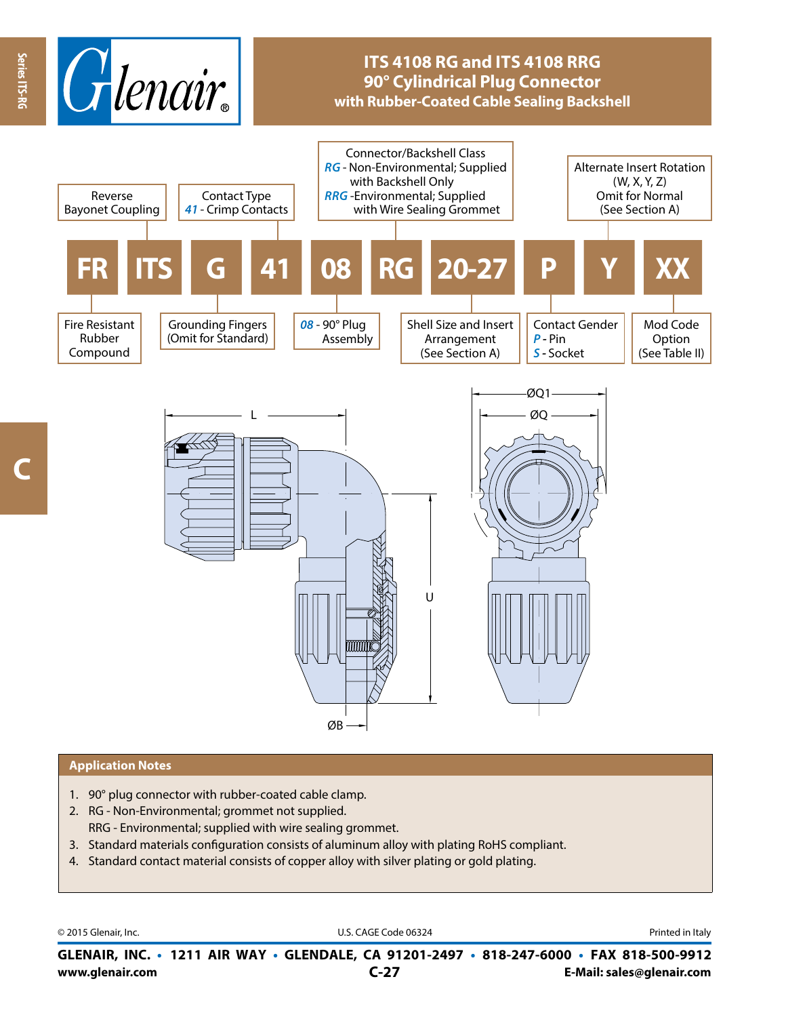

# **ITS 4108 RG and ITS 4108 RRG 90° Cylindrical Plug Connector with Rubber-Coated Cable Sealing Backshell**



#### **Application Notes**

- 1. 90° plug connector with rubber-coated cable clamp.
- 2. RG Non-Environmental; grommet not supplied. RRG - Environmental; supplied with wire sealing grommet.
- 3. Standard materials configuration consists of aluminum alloy with plating RoHS compliant.
- 4. Standard contact material consists of copper alloy with silver plating or gold plating.

© 2015 Glenair, Inc. **Discription Construction Construction Construction Construction Construction Construction Construction Construction Construction Construction Construction Construction Construction Construction Constr** 

**www.glenair.com E-Mail: sales@glenair.com GLENAIR, INC. • 1211 AIR WAY • GLENDALE, CA 91201-2497 • 818-247-6000 • FAX 818-500-9912 C-27**

**C**